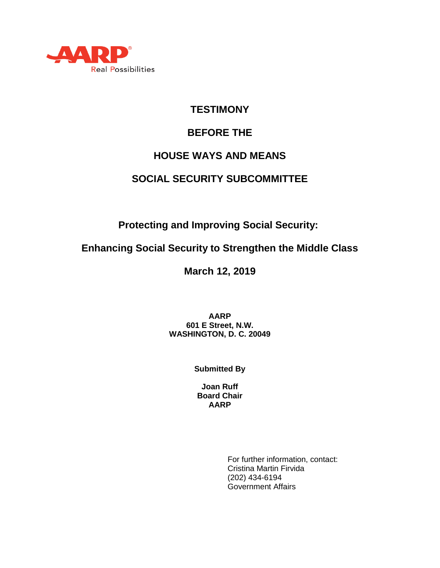

# **TESTIMONY**

# **BEFORE THE**

### **HOUSE WAYS AND MEANS**

## **SOCIAL SECURITY SUBCOMMITTEE**

**Protecting and Improving Social Security:**

**Enhancing Social Security to Strengthen the Middle Class**

**March 12, 2019**

**AARP 601 E Street, N.W. WASHINGTON, D. C. 20049**

**Submitted By**

**Joan Ruff Board Chair AARP**

> For further information, contact: Cristina Martin Firvida (202) 434-6194 Government Affairs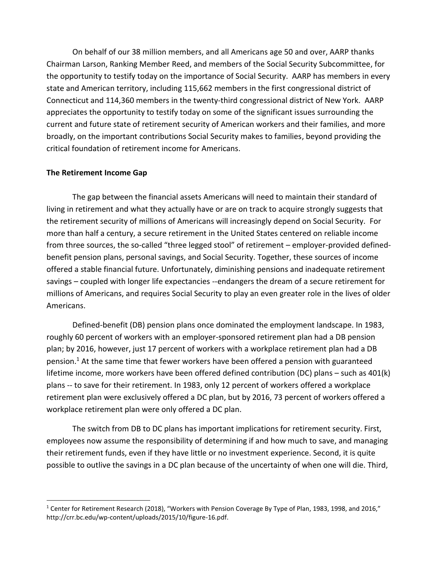On behalf of our 38 million members, and all Americans age 50 and over, AARP thanks Chairman Larson, Ranking Member Reed, and members of the Social Security Subcommittee, for the opportunity to testify today on the importance of Social Security. AARP has members in every state and American territory, including 115,662 members in the first congressional district of Connecticut and 114,360 members in the twenty-third congressional district of New York. AARP appreciates the opportunity to testify today on some of the significant issues surrounding the current and future state of retirement security of American workers and their families, and more broadly, on the important contributions Social Security makes to families, beyond providing the critical foundation of retirement income for Americans.

#### **The Retirement Income Gap**

 $\overline{a}$ 

The gap between the financial assets Americans will need to maintain their standard of living in retirement and what they actually have or are on track to acquire strongly suggests that the retirement security of millions of Americans will increasingly depend on Social Security. For more than half a century, a secure retirement in the United States centered on reliable income from three sources, the so-called "three legged stool" of retirement – employer-provided definedbenefit pension plans, personal savings, and Social Security. Together, these sources of income offered a stable financial future. Unfortunately, diminishing pensions and inadequate retirement savings – coupled with longer life expectancies --endangers the dream of a secure retirement for millions of Americans, and requires Social Security to play an even greater role in the lives of older Americans.

Defined-benefit (DB) pension plans once dominated the employment landscape. In 1983, roughly 60 percent of workers with an employer-sponsored retirement plan had a DB pension plan; by 2016, however, just 17 percent of workers with a workplace retirement plan had a DB pension. <sup>1</sup> At the same time that fewer workers have been offered a pension with guaranteed lifetime income, more workers have been offered defined contribution (DC) plans – such as 401(k) plans -- to save for their retirement. In 1983, only 12 percent of workers offered a workplace retirement plan were exclusively offered a DC plan, but by 2016, 73 percent of workers offered a workplace retirement plan were only offered a DC plan.

The switch from DB to DC plans has important implications for retirement security. First, employees now assume the responsibility of determining if and how much to save, and managing their retirement funds, even if they have little or no investment experience. Second, it is quite possible to outlive the savings in a DC plan because of the uncertainty of when one will die. Third,

 $1$  Center for Retirement Research (2018), "Workers with Pension Coverage By Type of Plan, 1983, 1998, and 2016," http://crr.bc.edu/wp-content/uploads/2015/10/figure-16.pdf.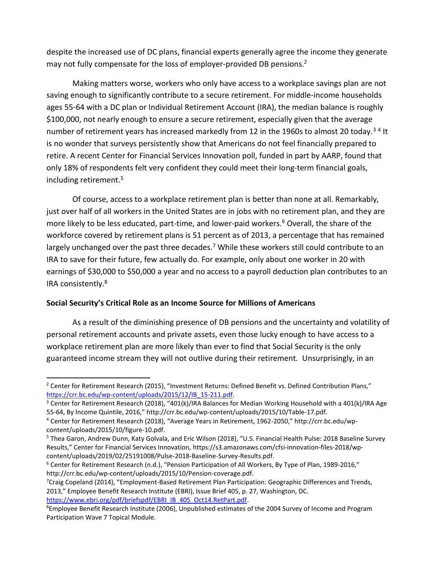despite the increased use of DC plans, financial experts generally agree the income they generate may not fully compensate for the loss of employer-provided DB pensions.<sup>2</sup>

Making matters worse, workers who only have access to a workplace savings plan are not saving enough to significantly contribute to a secure retirement. For middle-income households ages 55-64 with a DC plan or Individual Retirement Account (IRA), the median balance is roughly \$100,000, not nearly enough to ensure a secure retirement, especially given that the average number of retirement years has increased markedly from 12 in the 1960s to almost 20 today.<sup>34</sup> It is no wonder that surveys persistently show that Americans do not feel financially prepared to retire. A recent Center for Financial Services Innovation poll, funded in part by AARP, found that only 18% of respondents felt very confident they could meet their long-term financial goals, including retirement.<sup>5</sup>

Of course, access to a workplace retirement plan is better than none at all. Remarkably, just over half of all workers in the United States are in jobs with no retirement plan, and they are more likely to be less educated, part-time, and lower-paid workers.<sup>6</sup> Overall, the share of the workforce covered by retirement plans is 51 percent as of 2013, a percentage that has remained largely unchanged over the past three decades.<sup>7</sup> While these workers still could contribute to an IRA to save for their future, few actually do. For example, only about one worker in 20 with earnings of \$30,000 to \$50,000 a year and no access to a payroll deduction plan contributes to an IRA consistently.<sup>8</sup>

### **Social Security's Critical Role as an Income Source for Millions of Americans**

As a result of the diminishing presence of DB pensions and the uncertainty and volatility of personal retirement accounts and private assets, even those lucky enough to have access to a workplace retirement plan are more likely than ever to find that Social Security is the only guaranteed income stream they will not outlive during their retirement. Unsurprisingly, in an

<sup>&</sup>lt;sup>2</sup> Center for Retirement Research (2015), "Investment Returns: Defined Benefit vs. Defined Contribution Plans," [https://crr.bc.edu/wp-content/uploads/2015/12/IB\\_15-211.pdf.](https://crr.bc.edu/wp-content/uploads/2015/12/IB_15-211.pdf)

<sup>&</sup>lt;sup>3</sup> Center for Retirement Research (2018), "401(k)/IRA Balances for Median Working Household with a 401(k)/IRA Age 55-64, By Income Quintile, 2016," http://crr.bc.edu/wp-content/uploads/2015/10/Table-17.pdf.

<sup>4</sup> Center for Retirement Research (2018), "Average Years in Retirement, 1962-2050," http://crr.bc.edu/wpcontent/uploads/2015/10/figure-10.pdf.

<sup>&</sup>lt;sup>5</sup> Thea Garon, Andrew Dunn, Katy Golvala, and Eric Wilson (2018), "U.S. Financial Health Pulse: 2018 Baseline Survey Results," Center for Financial Services Innovation, https://s3.amazonaws.com/cfsi-innovation-files-2018/wpcontent/uploads/2019/02/25191008/Pulse-2018-Baseline-Survey-Results.pdf.

<sup>&</sup>lt;sup>6</sup> Center for Retirement Research (n.d.), "Pension Participation of All Workers, By Type of Plan, 1989-2016," http://crr.bc.edu/wp-content/uploads/2015/10/Pension-coverage.pdf.

 $7$ Craig Copeland (2014), "Employment-Based Retirement Plan Participation: Geographic Differences and Trends, 2013," Employee Benefit Research Institute (EBRI), Issue Brief 405, p. 27, Washington, DC.

[https://www.ebri.org/pdf/briefspdf/EBRI\\_IB\\_405\\_Oct14.RetPart.pdf.](https://www.ebri.org/pdf/briefspdf/EBRI_IB_405_Oct14.RetPart.pdf)

<sup>&</sup>lt;sup>8</sup>Employee Benefit Research Institute (2006), Unpublished estimates of the 2004 Survey of Income and Program Participation Wave 7 Topical Module.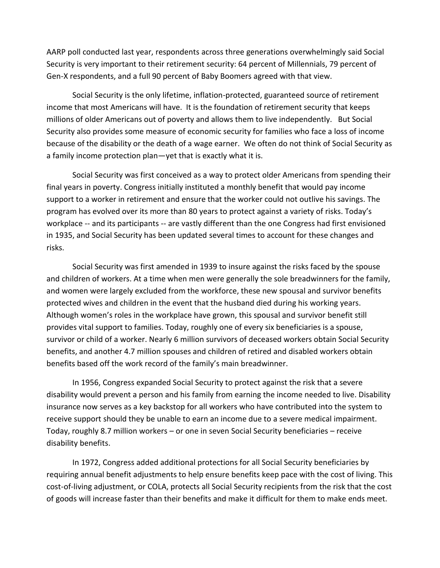AARP poll conducted last year, respondents across three generations overwhelmingly said Social Security is very important to their retirement security: 64 percent of Millennials, 79 percent of Gen-X respondents, and a full 90 percent of Baby Boomers agreed with that view.

Social Security is the only lifetime, inflation-protected, guaranteed source of retirement income that most Americans will have. It is the foundation of retirement security that keeps millions of older Americans out of poverty and allows them to live independently. But Social Security also provides some measure of economic security for families who face a loss of income because of the disability or the death of a wage earner. We often do not think of Social Security as a family income protection plan—yet that is exactly what it is.

Social Security was first conceived as a way to protect older Americans from spending their final years in poverty. Congress initially instituted a monthly benefit that would pay income support to a worker in retirement and ensure that the worker could not outlive his savings. The program has evolved over its more than 80 years to protect against a variety of risks. Today's workplace -- and its participants -- are vastly different than the one Congress had first envisioned in 1935, and Social Security has been updated several times to account for these changes and risks.

Social Security was first amended in 1939 to insure against the risks faced by the spouse and children of workers. At a time when men were generally the sole breadwinners for the family, and women were largely excluded from the workforce, these new spousal and survivor benefits protected wives and children in the event that the husband died during his working years. Although women's roles in the workplace have grown, this spousal and survivor benefit still provides vital support to families. Today, roughly one of every six beneficiaries is a spouse, survivor or child of a worker. Nearly 6 million survivors of deceased workers obtain Social Security benefits, and another 4.7 million spouses and children of retired and disabled workers obtain benefits based off the work record of the family's main breadwinner.

In 1956, Congress expanded Social Security to protect against the risk that a severe disability would prevent a person and his family from earning the income needed to live. Disability insurance now serves as a key backstop for all workers who have contributed into the system to receive support should they be unable to earn an income due to a severe medical impairment. Today, roughly 8.7 million workers – or one in seven Social Security beneficiaries – receive disability benefits.

In 1972, Congress added additional protections for all Social Security beneficiaries by requiring annual benefit adjustments to help ensure benefits keep pace with the cost of living. This cost-of-living adjustment, or COLA, protects all Social Security recipients from the risk that the cost of goods will increase faster than their benefits and make it difficult for them to make ends meet.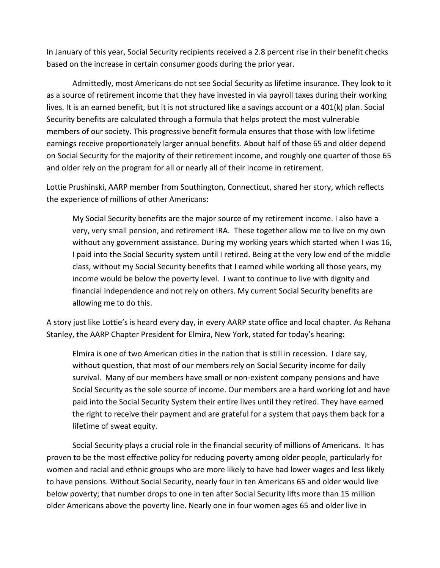In January of this year, Social Security recipients received a 2.8 percent rise in their benefit checks based on the increase in certain consumer goods during the prior year.

Admittedly, most Americans do not see Social Security as lifetime insurance. They look to it as a source of retirement income that they have invested in via payroll taxes during their working lives. It is an earned benefit, but it is not structured like a savings account or a 401(k) plan. Social Security benefits are calculated through a formula that helps protect the most vulnerable members of our society. This progressive benefit formula ensures that those with low lifetime earnings receive proportionately larger annual benefits. About half of those 65 and older depend on Social Security for the majority of their retirement income, and roughly one quarter of those 65 and older rely on the program for all or nearly all of their income in retirement.

Lottie Prushinski, AARP member from Southington, Connecticut, shared her story, which reflects the experience of millions of other Americans:

My Social Security benefits are the major source of my retirement income. I also have a very, very small pension, and retirement IRA. These together allow me to live on my own without any government assistance. During my working years which started when I was 16, I paid into the Social Security system until I retired. Being at the very low end of the middle class, without my Social Security benefits that I earned while working all those years, my income would be below the poverty level. I want to continue to live with dignity and financial independence and not rely on others. My current Social Security benefits are allowing me to do this.

A story just like Lottie's is heard every day, in every AARP state office and local chapter. As Rehana Stanley, the AARP Chapter President for Elmira, New York, stated for today's hearing:

Elmira is one of two American cities in the nation that is still in recession. I dare say, without question, that most of our members rely on Social Security income for daily survival. Many of our members have small or non-existent company pensions and have Social Security as the sole source of income. Our members are a hard working lot and have paid into the Social Security System their entire lives until they retired. They have earned the right to receive their payment and are grateful for a system that pays them back for a lifetime of sweat equity.

Social Security plays a crucial role in the financial security of millions of Americans. It has proven to be the most effective policy for reducing poverty among older people, particularly for women and racial and ethnic groups who are more likely to have had lower wages and less likely to have pensions. Without Social Security, nearly four in ten Americans 65 and older would live below poverty; that number drops to one in ten after Social Security lifts more than 15 million older Americans above the poverty line. Nearly one in four women ages 65 and older live in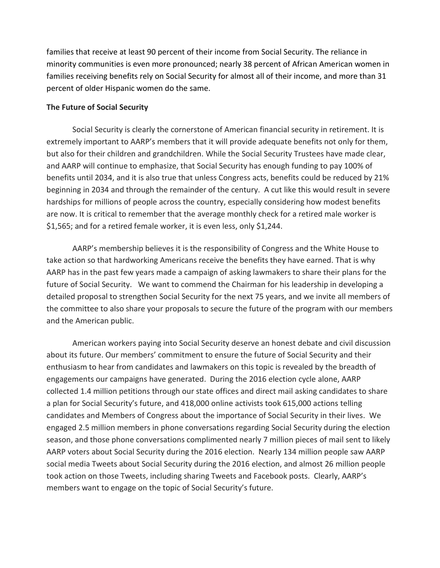families that receive at least 90 percent of their income from Social Security. The reliance in minority communities is even more pronounced; nearly 38 percent of African American women in families receiving benefits rely on Social Security for almost all of their income, and more than 31 percent of older Hispanic women do the same.

#### **The Future of Social Security**

Social Security is clearly the cornerstone of American financial security in retirement. It is extremely important to AARP's members that it will provide adequate benefits not only for them, but also for their children and grandchildren. While the Social Security Trustees have made clear, and AARP will continue to emphasize, that Social Security has enough funding to pay 100% of benefits until 2034, and it is also true that unless Congress acts, benefits could be reduced by 21% beginning in 2034 and through the remainder of the century. A cut like this would result in severe hardships for millions of people across the country, especially considering how modest benefits are now. It is critical to remember that the average monthly check for a retired male worker is \$1,565; and for a retired female worker, it is even less, only \$1,244.

AARP's membership believes it is the responsibility of Congress and the White House to take action so that hardworking Americans receive the benefits they have earned. That is why AARP has in the past few years made a campaign of asking lawmakers to share their plans for the future of Social Security. We want to commend the Chairman for his leadership in developing a detailed proposal to strengthen Social Security for the next 75 years, and we invite all members of the committee to also share your proposals to secure the future of the program with our members and the American public.

American workers paying into Social Security deserve an honest debate and civil discussion about its future. Our members' commitment to ensure the future of Social Security and their enthusiasm to hear from candidates and lawmakers on this topic is revealed by the breadth of engagements our campaigns have generated. During the 2016 election cycle alone, AARP collected 1.4 million petitions through our state offices and direct mail asking candidates to share a plan for Social Security's future, and 418,000 online activists took 615,000 actions telling candidates and Members of Congress about the importance of Social Security in their lives. We engaged 2.5 million members in phone conversations regarding Social Security during the election season, and those phone conversations complimented nearly 7 million pieces of mail sent to likely AARP voters about Social Security during the 2016 election. Nearly 134 million people saw AARP social media Tweets about Social Security during the 2016 election, and almost 26 million people took action on those Tweets, including sharing Tweets and Facebook posts. Clearly, AARP's members want to engage on the topic of Social Security's future.